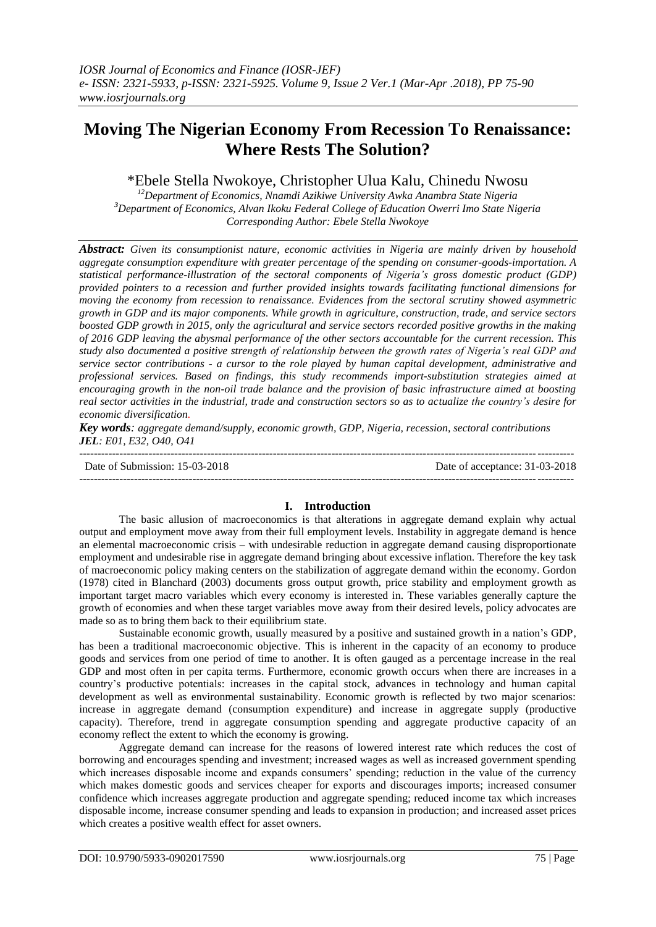# **Moving The Nigerian Economy From Recession To Renaissance: Where Rests The Solution?**

# \*Ebele Stella Nwokoye, Christopher Ulua Kalu, Chinedu Nwosu

*<sup>12</sup>Department of Economics, Nnamdi Azikiwe University Awka Anambra State Nigeria <sup>3</sup>Department of Economics, Alvan Ikoku Federal College of Education Owerri Imo State Nigeria Corresponding Author: Ebele Stella Nwokoye*

*Abstract: Given its consumptionist nature, economic activities in Nigeria are mainly driven by household aggregate consumption expenditure with greater percentage of the spending on consumer-goods-importation. A statistical performance-illustration of the sectoral components of Nigeria's gross domestic product (GDP) provided pointers to a recession and further provided insights towards facilitating functional dimensions for moving the economy from recession to renaissance. Evidences from the sectoral scrutiny showed asymmetric growth in GDP and its major components. While growth in agriculture, construction, trade, and service sectors boosted GDP growth in 2015, only the agricultural and service sectors recorded positive growths in the making of 2016 GDP leaving the abysmal performance of the other sectors accountable for the current recession. This study also documented a positive strength of relationship between the growth rates of Nigeria's real GDP and service sector contributions - a cursor to the role played by human capital development, administrative and professional services. Based on findings, this study recommends import-substitution strategies aimed at encouraging growth in the non-oil trade balance and the provision of basic infrastructure aimed at boosting real sector activities in the industrial, trade and construction sectors so as to actualize the country's desire for economic diversification.* 

*Key words: aggregate demand/supply, economic growth, GDP, Nigeria, recession, sectoral contributions JEL: E01, E32, O40, O41*

| Date of Submission: 15-03-2018 | Date of acceptance: 31-03-2018 |
|--------------------------------|--------------------------------|
|                                |                                |

## **I. Introduction**

The basic allusion of macroeconomics is that alterations in aggregate demand explain why actual output and employment move away from their full employment levels. Instability in aggregate demand is hence an elemental macroeconomic crisis – with undesirable reduction in aggregate demand causing disproportionate employment and undesirable rise in aggregate demand bringing about excessive inflation. Therefore the key task of macroeconomic policy making centers on the stabilization of aggregate demand within the economy. Gordon (1978) cited in Blanchard (2003) documents gross output growth, price stability and employment growth as important target macro variables which every economy is interested in. These variables generally capture the growth of economies and when these target variables move away from their desired levels, policy advocates are made so as to bring them back to their equilibrium state.

Sustainable economic growth, usually measured by a positive and sustained growth in a nation's GDP, has been a traditional macroeconomic objective. This is inherent in the capacity of an economy to produce goods and services from one period of time to another. It is often gauged as a percentage increase in the real GDP and most often in per capita terms. Furthermore, economic growth occurs when there are increases in a country's productive potentials: increases in the capital stock, advances in technology and human capital development as well as environmental sustainability. Economic growth is reflected by two major scenarios: increase in aggregate demand (consumption expenditure) and increase in aggregate supply (productive capacity). Therefore, trend in aggregate consumption spending and aggregate productive capacity of an economy reflect the extent to which the economy is growing.

Aggregate demand can increase for the reasons of lowered interest rate which reduces the cost of borrowing and encourages spending and investment; increased wages as well as increased government spending which increases disposable income and expands consumers' spending; reduction in the value of the currency which makes domestic goods and services cheaper for exports and discourages imports; increased consumer confidence which increases aggregate production and aggregate spending; reduced income tax which increases disposable income, increase consumer spending and leads to expansion in production; and increased asset prices which creates a positive wealth effect for asset owners.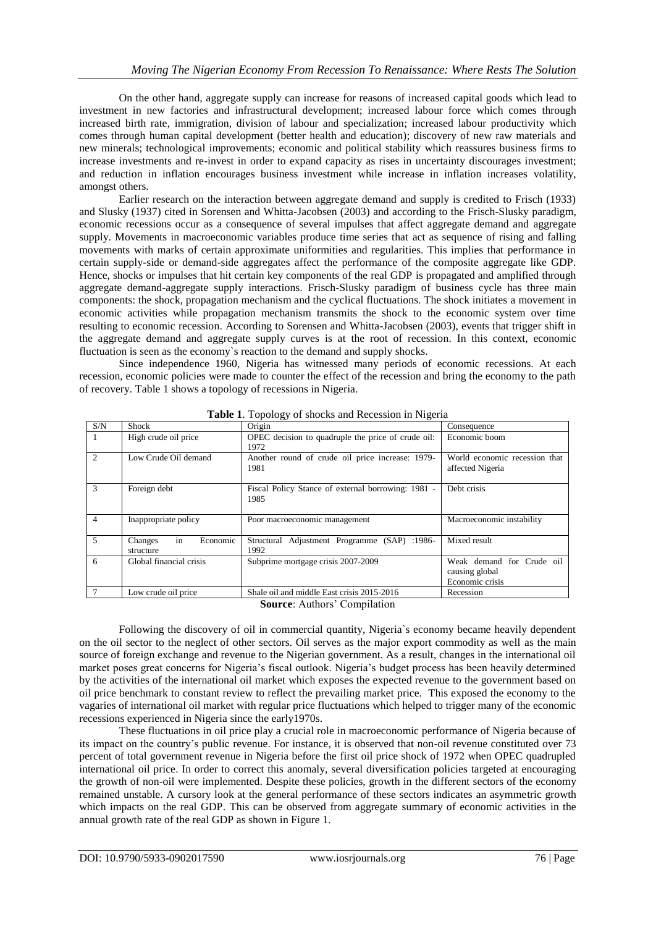On the other hand, aggregate supply can increase for reasons of increased capital goods which lead to investment in new factories and infrastructural development; increased labour force which comes through increased birth rate, immigration, division of labour and specialization; increased labour productivity which comes through human capital development (better health and education); discovery of new raw materials and new minerals; technological improvements; economic and political stability which reassures business firms to increase investments and re-invest in order to expand capacity as rises in uncertainty discourages investment; and reduction in inflation encourages business investment while increase in inflation increases volatility, amongst others.

Earlier research on the interaction between aggregate demand and supply is credited to Frisch (1933) and Slusky (1937) cited in Sorensen and Whitta-Jacobsen (2003) and according to the Frisch-Slusky paradigm, economic recessions occur as a consequence of several impulses that affect aggregate demand and aggregate supply. Movements in macroeconomic variables produce time series that act as sequence of rising and falling movements with marks of certain approximate uniformities and regularities. This implies that performance in certain supply-side or demand-side aggregates affect the performance of the composite aggregate like GDP. Hence, shocks or impulses that hit certain key components of the real GDP is propagated and amplified through aggregate demand-aggregate supply interactions. Frisch-Slusky paradigm of business cycle has three main components: the shock, propagation mechanism and the cyclical fluctuations. The shock initiates a movement in economic activities while propagation mechanism transmits the shock to the economic system over time resulting to economic recession. According to Sorensen and Whitta-Jacobsen (2003), events that trigger shift in the aggregate demand and aggregate supply curves is at the root of recession. In this context, economic fluctuation is seen as the economy`s reaction to the demand and supply shocks.

Since independence 1960, Nigeria has witnessed many periods of economic recessions. At each recession, economic policies were made to counter the effect of the recession and bring the economy to the path of recovery. Table 1 shows a topology of recessions in Nigeria.

| S/N                    | <b>Shock</b>                           | Origin                                                     | Consequence                                                    |
|------------------------|----------------------------------------|------------------------------------------------------------|----------------------------------------------------------------|
|                        | High crude oil price                   | OPEC decision to quadruple the price of crude oil:<br>1972 | Economic boom                                                  |
| $\mathcal{D}_{\alpha}$ | Low Crude Oil demand                   | Another round of crude oil price increase: 1979-<br>1981   | World economic recession that<br>affected Nigeria              |
| $\mathcal{R}$          | Foreign debt                           | Fiscal Policy Stance of external borrowing: 1981 -<br>1985 | Debt crisis                                                    |
| $\overline{4}$         | Inappropriate policy                   | Poor macroeconomic management                              | Macroeconomic instability                                      |
| $\overline{5}$         | in<br>Economic<br>Changes<br>structure | Structural Adjustment Programme (SAP) :1986-<br>1992       | Mixed result                                                   |
| 6                      | Global financial crisis                | Subprime mortgage crisis 2007-2009                         | Weak demand for Crude oil<br>causing global<br>Economic crisis |
|                        | Low crude oil price                    | Shale oil and middle East crisis 2015-2016                 | Recession                                                      |

**Table 1**. Topology of shocks and Recession in Nigeria

**Source**: Authors' Compilation

Following the discovery of oil in commercial quantity, Nigeria`s economy became heavily dependent on the oil sector to the neglect of other sectors. Oil serves as the major export commodity as well as the main source of foreign exchange and revenue to the Nigerian government. As a result, changes in the international oil market poses great concerns for Nigeria's fiscal outlook. Nigeria's budget process has been heavily determined by the activities of the international oil market which exposes the expected revenue to the government based on oil price benchmark to constant review to reflect the prevailing market price. This exposed the economy to the vagaries of international oil market with regular price fluctuations which helped to trigger many of the economic recessions experienced in Nigeria since the early1970s.

These fluctuations in oil price play a crucial role in macroeconomic performance of Nigeria because of its impact on the country's public revenue. For instance, it is observed that non-oil revenue constituted over 73 percent of total government revenue in Nigeria before the first oil price shock of 1972 when OPEC quadrupled international oil price. In order to correct this anomaly, several diversification policies targeted at encouraging the growth of non-oil were implemented. Despite these policies, growth in the different sectors of the economy remained unstable. A cursory look at the general performance of these sectors indicates an asymmetric growth which impacts on the real GDP. This can be observed from aggregate summary of economic activities in the annual growth rate of the real GDP as shown in Figure 1.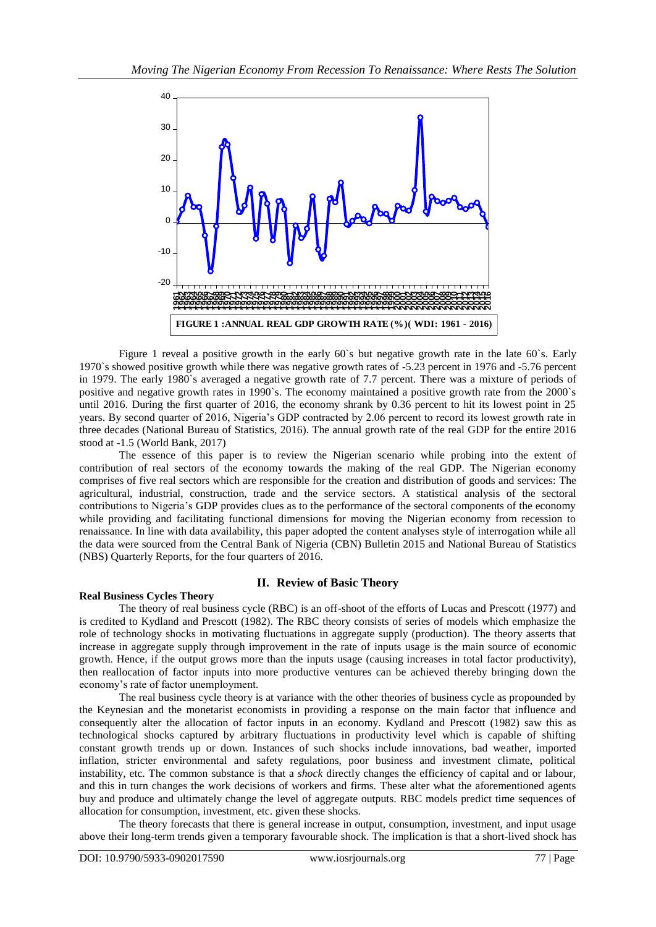

Figure 1 reveal a positive growth in the early 60's but negative growth rate in the late 60's. Early 1970`s showed positive growth while there was negative growth rates of -5.23 percent in 1976 and -5.76 percent in 1979. The early 1980`s averaged a negative growth rate of 7.7 percent. There was a mixture of periods of positive and negative growth rates in 1990`s. The economy maintained a positive growth rate from the 2000`s until 2016. During the first quarter of 2016, the economy shrank by 0.36 percent to hit its lowest point in 25 years. By second quarter of 2016, Nigeria's GDP contracted by 2.06 percent to record its lowest growth rate in three decades (National Bureau of Statistics, 2016). The annual growth rate of the real GDP for the entire 2016 stood at -1.5 (World Bank, 2017)

The essence of this paper is to review the Nigerian scenario while probing into the extent of contribution of real sectors of the economy towards the making of the real GDP. The Nigerian economy comprises of five real sectors which are responsible for the creation and distribution of goods and services: The agricultural, industrial, construction, trade and the service sectors. A statistical analysis of the sectoral contributions to Nigeria's GDP provides clues as to the performance of the sectoral components of the economy while providing and facilitating functional dimensions for moving the Nigerian economy from recession to renaissance. In line with data availability, this paper adopted the content analyses style of interrogation while all the data were sourced from the Central Bank of Nigeria (CBN) Bulletin 2015 and National Bureau of Statistics (NBS) Quarterly Reports, for the four quarters of 2016.

## **II. Review of Basic Theory**

#### **Real Business Cycles Theory**

The theory of real business cycle (RBC) is an off-shoot of the efforts of Lucas and Prescott (1977) and is credited to Kydland and Prescott (1982). The RBC theory consists of series of models which emphasize the role of technology shocks in motivating fluctuations in aggregate supply (production). The theory asserts that increase in aggregate supply through improvement in the rate of inputs usage is the main source of economic growth. Hence, if the output grows more than the inputs usage (causing increases in total factor productivity), then reallocation of factor inputs into more productive ventures can be achieved thereby bringing down the economy's rate of factor unemployment.

The real business cycle theory is at variance with the other theories of business cycle as propounded by the [Keynesian and the monetarist economists](https://en.wikipedia.org/wiki/Keynesian_economics) in providing a response on the main factor that influence and consequently alter the allocation of factor inputs in an economy. [Kydland](https://en.wikipedia.org/wiki/Finn_E._Kydland) and [Prescott](https://en.wikipedia.org/wiki/Edward_C._Prescott) (1982) saw this as technological shocks captured by arbitrary fluctuations in productivity level which is capable of shifting constant growth trends up or down. Instances of such shocks include innovations, bad weather, imported inflation, stricter environmental and safety regulations, poor business and investment climate, political instability, etc. The common substance is that a *shock* directly changes the efficiency of capital and or labour, and this in turn changes the work decisions of workers and firms. These alter what the aforementioned agents buy and produce and ultimately change the level of aggregate outputs. RBC models predict time sequences of allocation for consumption, investment, etc. given these shocks.

The theory forecasts that there is general increase in output, consumption, investment, and input usage above their long-term trends given a temporary favourable shock. The implication is that a short-lived shock has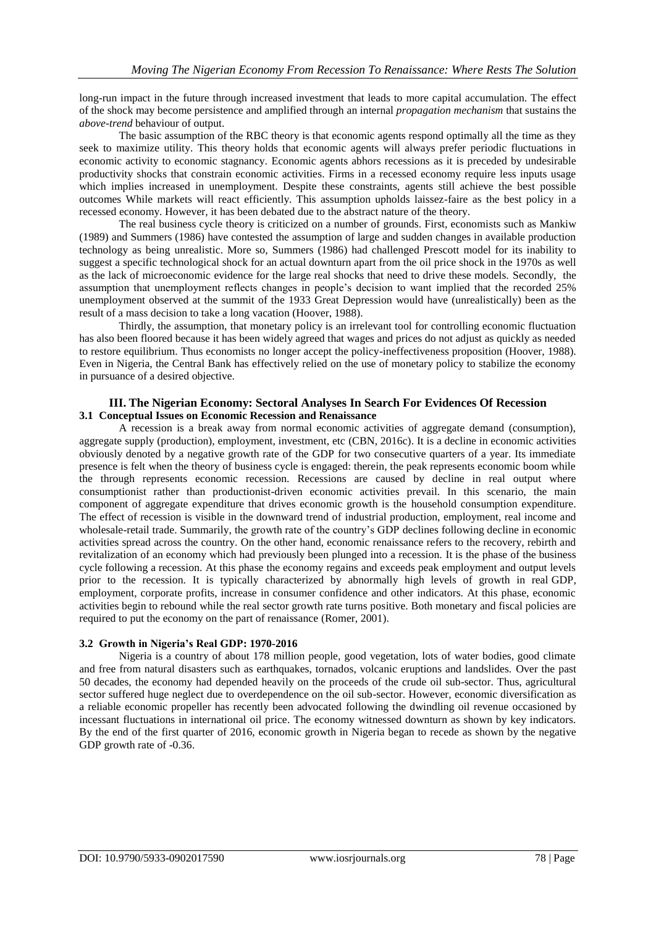long-run impact in the future through increased investment that leads to more capital accumulation. The effect of the shock may become persistence and amplified through an internal *propagation mechanism* that sustains the *above-trend* behaviour of output.

The basic assumption of the RBC theory is that economic agents respond optimally all the time as they seek to maximize utility. This theory holds that economic agents will always prefer periodic fluctuations in economic activity to economic stagnancy. Economic agents abhors recessions as it is preceded by undesirable productivity shocks that constrain economic activities. Firms in a recessed economy require less inputs usage which implies increased in unemployment. Despite these constraints, agents still achieve the best possible outcomes While markets will react efficiently. This assumption upholds laissez-faire as the best policy in a recessed economy. However, it has been debated due to the abstract nature of the theory.

The real business cycle theory is criticized on a number of grounds. First, economists such as Mankiw (1989) and Summers (1986) have contested the assumption of large and sudden changes in available production technology as being unrealistic. More so, [Summers \(1986\)](https://en.wikipedia.org/wiki/Real_business-cycle_theory#CITEREFSummers1986) had challenged Prescott model for its inability to suggest a specific technological shock for an actual downturn apart from the oil price shock in the 1970s as well as the lack of microeconomic evidence for the large real shocks that need to drive these models. Secondly, the assumption that unemployment reflects changes in people's decision to want implied that the recorded 25% unemployment observed at the summit of the 1933 [Great Depression](https://en.wikipedia.org/wiki/Great_Depression) would have (unrealistically) been as the result of a mass decision to take a long vacation (Hoover, 1988).

Thirdly, the assumption, that monetary policy is an irrelevant tool for controlling economic fluctuation has also been floored because it has been widely agreed that wages and prices do not adjust as quickly as needed to restore equilibrium. Thus economists no longer accept the policy-ineffectiveness proposition (Hoover, 1988). Even in Nigeria, the Central Bank has effectively relied on the use of monetary policy to stabilize the economy in pursuance of a desired objective.

#### **III. The Nigerian Economy: Sectoral Analyses In Search For Evidences Of Recession 3.1 Conceptual Issues on Economic Recession and Renaissance**

A recession is a break away from normal economic activities of aggregate demand (consumption), aggregate supply (production), employment, investment, etc (CBN, 2016c). It is a decline in economic activities obviously denoted by a negative growth rate of the GDP for two consecutive quarters of a year. Its immediate presence is felt when the theory of business cycle is engaged: therein, the peak represents economic boom while the through represents economic recession. Recessions are caused by decline in real output where consumptionist rather than productionist-driven economic activities prevail. In this scenario, the main component of aggregate expenditure that drives economic growth is the household consumption expenditure. The effect of recession is visible in the downward trend of industrial production, employment, real income and wholesale-retail trade. Summarily, the growth rate of the country's GDP declines following decline in economic activities spread across the country. On the other hand, economic renaissance refers to the recovery, rebirth and revitalization of an economy which had previously been plunged into a recession. It is the phase of the [business](https://en.wikipedia.org/wiki/Business_cycle)  [cycle](https://en.wikipedia.org/wiki/Business_cycle) following a [recession.](https://en.wikipedia.org/wiki/Recession) At this phase the economy regains and exceeds peak employment and output levels prior to the recession. It is typically characterized by abnormally high levels of growth in real GDP, employment, corporate profits, increase in consumer confidence and other indicators. At this phase, economic activities begin to rebound while the real sector growth rate turns positive. Both monetary and fiscal policies are required to put the economy on the part of renaissance (Romer, 2001).

#### **3.2 Growth in Nigeria's Real GDP: 1970-2016**

Nigeria is a country of about 178 million people, good vegetation, lots of water bodies, good climate and free from natural disasters such as earthquakes, tornados, volcanic eruptions and landslides. Over the past 50 decades, the economy had depended heavily on the proceeds of the crude oil sub-sector. Thus, agricultural sector suffered huge neglect due to overdependence on the oil sub-sector. However, economic diversification as a reliable economic propeller has recently been advocated following the dwindling oil revenue occasioned by incessant fluctuations in international oil price. The economy witnessed downturn as shown by key indicators. By the end of the first quarter of 2016, economic growth in Nigeria began to recede as shown by the negative GDP growth rate of -0.36.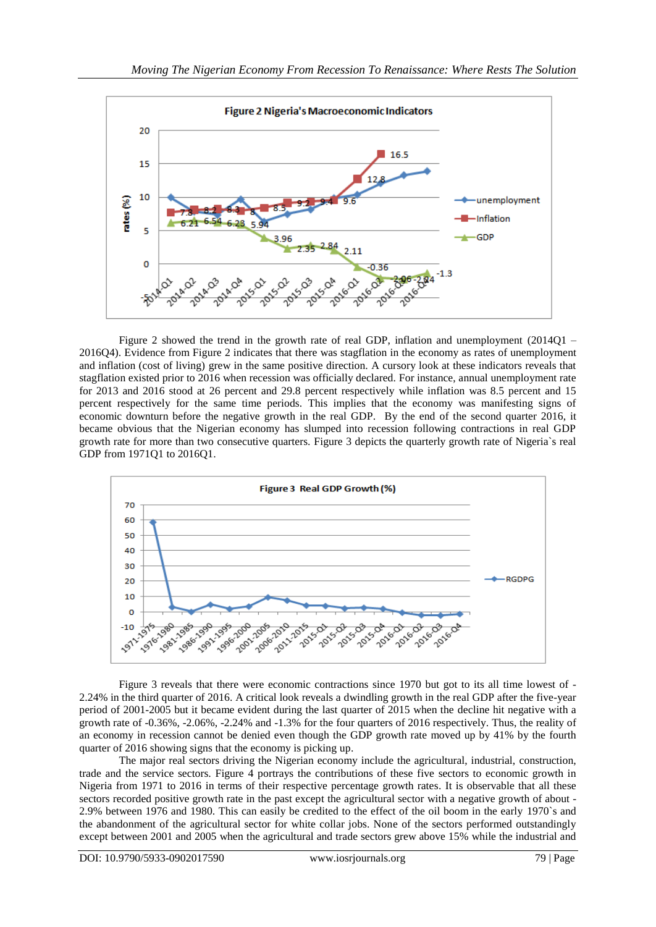

Figure 2 showed the trend in the growth rate of real GDP, inflation and unemployment (2014Q1 – 2016Q4). Evidence from Figure 2 indicates that there was stagflation in the economy as rates of unemployment and inflation (cost of living) grew in the same positive direction. A cursory look at these indicators reveals that stagflation existed prior to 2016 when recession was officially declared. For instance, annual unemployment rate for 2013 and 2016 stood at 26 percent and 29.8 percent respectively while inflation was 8.5 percent and 15 percent respectively for the same time periods. This implies that the economy was manifesting signs of economic downturn before the negative growth in the real GDP. By the end of the second quarter 2016, it became obvious that the Nigerian economy has slumped into recession following contractions in real GDP growth rate for more than two consecutive quarters. Figure 3 depicts the quarterly growth rate of Nigeria`s real GDP from 1971Q1 to 2016Q1.



Figure 3 reveals that there were economic contractions since 1970 but got to its all time lowest of - 2.24% in the third quarter of 2016. A critical look reveals a dwindling growth in the real GDP after the five-year period of 2001-2005 but it became evident during the last quarter of 2015 when the decline hit negative with a growth rate of -0.36%, -2.06%, -2.24% and -1.3% for the four quarters of 2016 respectively. Thus, the reality of an economy in recession cannot be denied even though the GDP growth rate moved up by 41% by the fourth quarter of 2016 showing signs that the economy is picking up.

The major real sectors driving the Nigerian economy include the agricultural, industrial, construction, trade and the service sectors. Figure 4 portrays the contributions of these five sectors to economic growth in Nigeria from 1971 to 2016 in terms of their respective percentage growth rates. It is observable that all these sectors recorded positive growth rate in the past except the agricultural sector with a negative growth of about - 2.9% between 1976 and 1980. This can easily be credited to the effect of the oil boom in the early 1970`s and the abandonment of the agricultural sector for white collar jobs. None of the sectors performed outstandingly except between 2001 and 2005 when the agricultural and trade sectors grew above 15% while the industrial and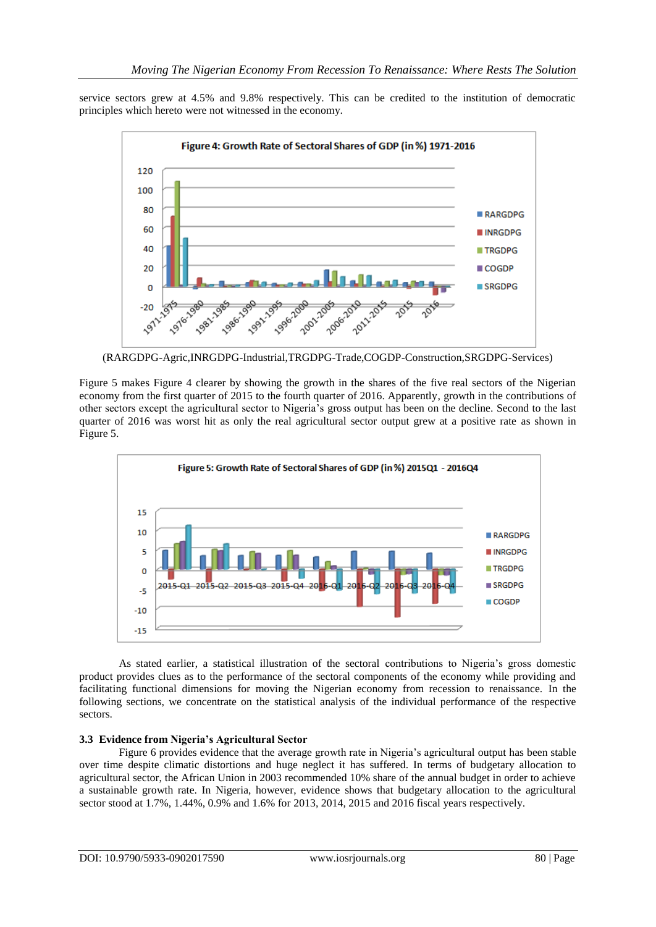service sectors grew at 4.5% and 9.8% respectively. This can be credited to the institution of democratic principles which hereto were not witnessed in the economy.



(RARGDPG-Agric,INRGDPG-Industrial,TRGDPG-Trade,COGDP-Construction,SRGDPG-Services)

Figure 5 makes Figure 4 clearer by showing the growth in the shares of the five real sectors of the Nigerian economy from the first quarter of 2015 to the fourth quarter of 2016. Apparently, growth in the contributions of other sectors except the agricultural sector to Nigeria's gross output has been on the decline. Second to the last quarter of 2016 was worst hit as only the real agricultural sector output grew at a positive rate as shown in Figure 5.



As stated earlier, a statistical illustration of the sectoral contributions to Nigeria's gross domestic product provides clues as to the performance of the sectoral components of the economy while providing and facilitating functional dimensions for moving the Nigerian economy from recession to renaissance. In the following sections, we concentrate on the statistical analysis of the individual performance of the respective sectors.

## **3.3 Evidence from Nigeria's Agricultural Sector**

Figure 6 provides evidence that the average growth rate in Nigeria's agricultural output has been stable over time despite climatic distortions and huge neglect it has suffered. In terms of budgetary allocation to agricultural sector, the African Union in 2003 recommended 10% share of the annual budget in order to achieve a sustainable growth rate. In Nigeria, however, evidence shows that budgetary allocation to the agricultural sector stood at 1.7%, 1.44%, 0.9% and 1.6% for 2013, 2014, 2015 and 2016 fiscal years respectively.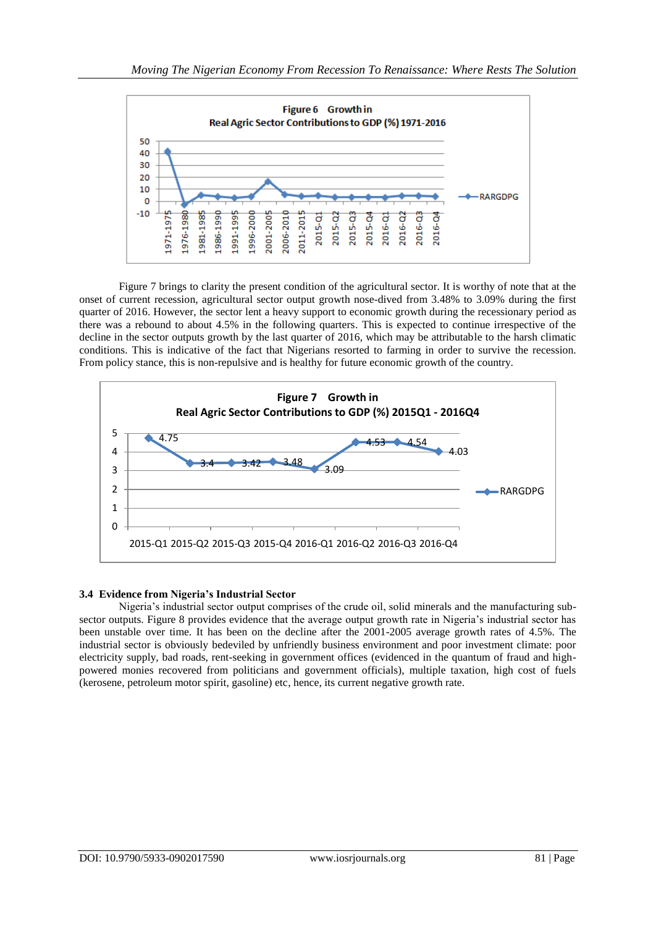

Figure 7 brings to clarity the present condition of the agricultural sector. It is worthy of note that at the onset of current recession, agricultural sector output growth nose-dived from 3.48% to 3.09% during the first quarter of 2016. However, the sector lent a heavy support to economic growth during the recessionary period as there was a rebound to about 4.5% in the following quarters. This is expected to continue irrespective of the decline in the sector outputs growth by the last quarter of 2016, which may be attributable to the harsh climatic conditions. This is indicative of the fact that Nigerians resorted to farming in order to survive the recession. From policy stance, this is non-repulsive and is healthy for future economic growth of the country.



## **3.4 Evidence from Nigeria's Industrial Sector**

Nigeria's industrial sector output comprises of the crude oil, solid minerals and the manufacturing subsector outputs. Figure 8 provides evidence that the average output growth rate in Nigeria's industrial sector has been unstable over time. It has been on the decline after the 2001-2005 average growth rates of 4.5%. The industrial sector is obviously bedeviled by unfriendly business environment and poor investment climate: poor electricity supply, bad roads, rent-seeking in government offices (evidenced in the quantum of fraud and highpowered monies recovered from politicians and government officials), multiple taxation, high cost of fuels (kerosene, petroleum motor spirit, gasoline) etc, hence, its current negative growth rate.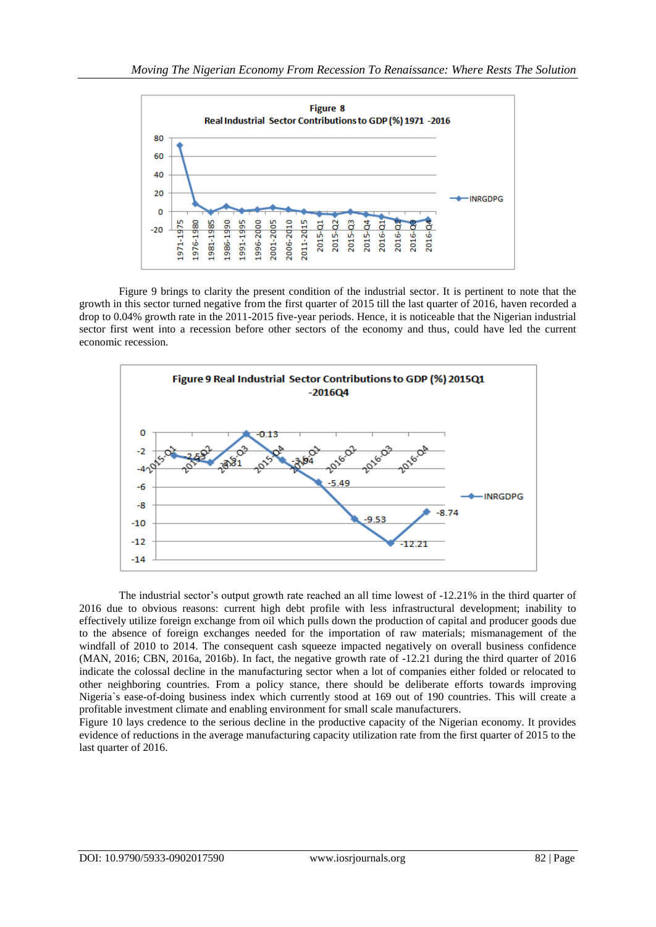

Figure 9 brings to clarity the present condition of the industrial sector. It is pertinent to note that the growth in this sector turned negative from the first quarter of 2015 till the last quarter of 2016, haven recorded a drop to 0.04% growth rate in the 2011-2015 five-year periods. Hence, it is noticeable that the Nigerian industrial sector first went into a recession before other sectors of the economy and thus, could have led the current economic recession.



The industrial sector's output growth rate reached an all time lowest of -12.21% in the third quarter of 2016 due to obvious reasons: current high debt profile with less infrastructural development; inability to effectively utilize foreign exchange from oil which pulls down the production of capital and producer goods due to the absence of foreign exchanges needed for the importation of raw materials; mismanagement of the windfall of 2010 to 2014. The consequent cash squeeze impacted negatively on overall business confidence (MAN, 2016; CBN, 2016a, 2016b). In fact, the negative growth rate of -12.21 during the third quarter of 2016 indicate the colossal decline in the manufacturing sector when a lot of companies either folded or relocated to other neighboring countries. From a policy stance, there should be deliberate efforts towards improving Nigeria`s ease-of-doing business index which currently stood at 169 out of 190 countries. This will create a profitable investment climate and enabling environment for small scale manufacturers.

Figure 10 lays credence to the serious decline in the productive capacity of the Nigerian economy. It provides evidence of reductions in the average manufacturing capacity utilization rate from the first quarter of 2015 to the last quarter of 2016.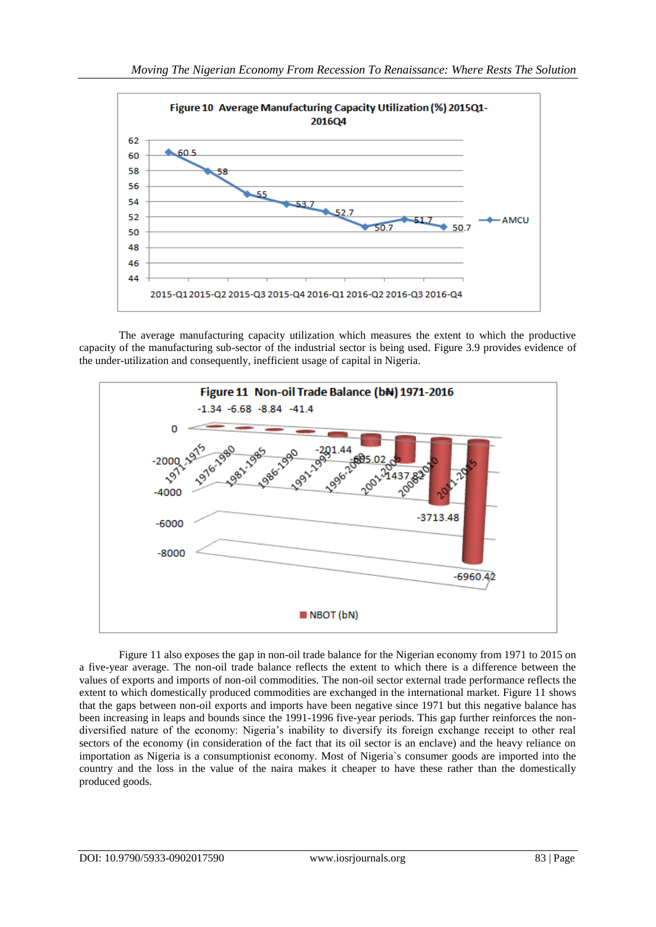

The average manufacturing capacity utilization which measures the extent to which the productive capacity of the manufacturing sub-sector of the industrial sector is being used. Figure 3.9 provides evidence of the under-utilization and consequently, inefficient usage of capital in Nigeria.



Figure 11 also exposes the gap in non-oil trade balance for the Nigerian economy from 1971 to 2015 on a five-year average. The non-oil trade balance reflects the extent to which there is a difference between the values of exports and imports of non-oil commodities. The non-oil sector external trade performance reflects the extent to which domestically produced commodities are exchanged in the international market. Figure 11 shows that the gaps between non-oil exports and imports have been negative since 1971 but this negative balance has been increasing in leaps and bounds since the 1991-1996 five-year periods. This gap further reinforces the nondiversified nature of the economy: Nigeria's inability to diversify its foreign exchange receipt to other real sectors of the economy (in consideration of the fact that its oil sector is an enclave) and the heavy reliance on importation as Nigeria is a consumptionist economy. Most of Nigeria`s consumer goods are imported into the country and the loss in the value of the naira makes it cheaper to have these rather than the domestically produced goods.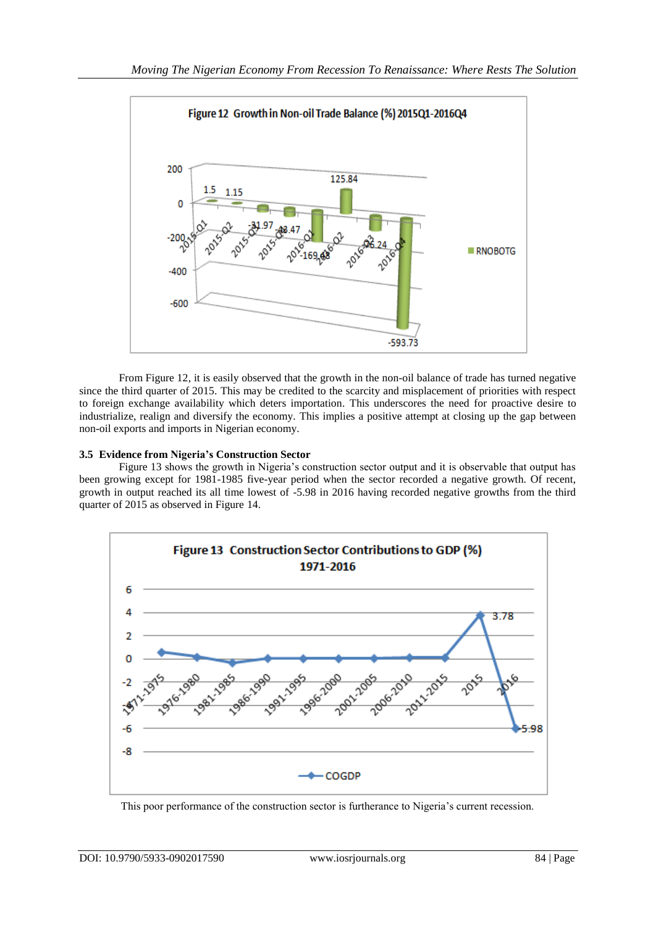

From Figure 12, it is easily observed that the growth in the non-oil balance of trade has turned negative since the third quarter of 2015. This may be credited to the scarcity and misplacement of priorities with respect to foreign exchange availability which deters importation. This underscores the need for proactive desire to industrialize, realign and diversify the economy. This implies a positive attempt at closing up the gap between non-oil exports and imports in Nigerian economy.

## **3.5 Evidence from Nigeria's Construction Sector**

Figure 13 shows the growth in Nigeria's construction sector output and it is observable that output has been growing except for 1981-1985 five-year period when the sector recorded a negative growth. Of recent, growth in output reached its all time lowest of -5.98 in 2016 having recorded negative growths from the third quarter of 2015 as observed in Figure 14.



This poor performance of the construction sector is furtherance to Nigeria's current recession.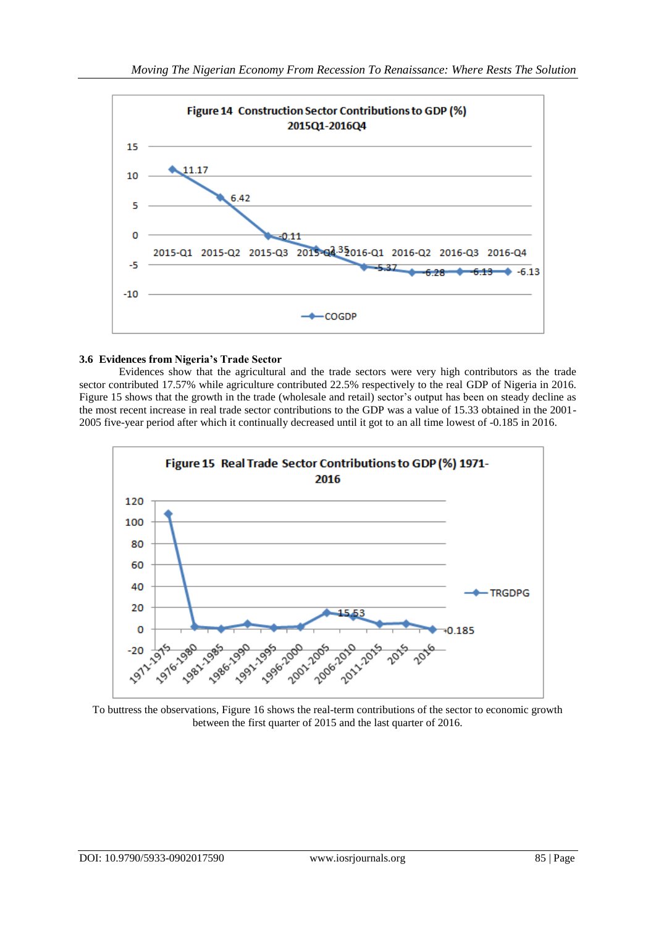

## **3.6 Evidences from Nigeria's Trade Sector**

Evidences show that the agricultural and the trade sectors were very high contributors as the trade sector contributed 17.57% while agriculture contributed 22.5% respectively to the real GDP of Nigeria in 2016. Figure 15 shows that the growth in the trade (wholesale and retail) sector's output has been on steady decline as the most recent increase in real trade sector contributions to the GDP was a value of 15.33 obtained in the 2001- 2005 five-year period after which it continually decreased until it got to an all time lowest of -0.185 in 2016.



To buttress the observations, Figure 16 shows the real-term contributions of the sector to economic growth between the first quarter of 2015 and the last quarter of 2016.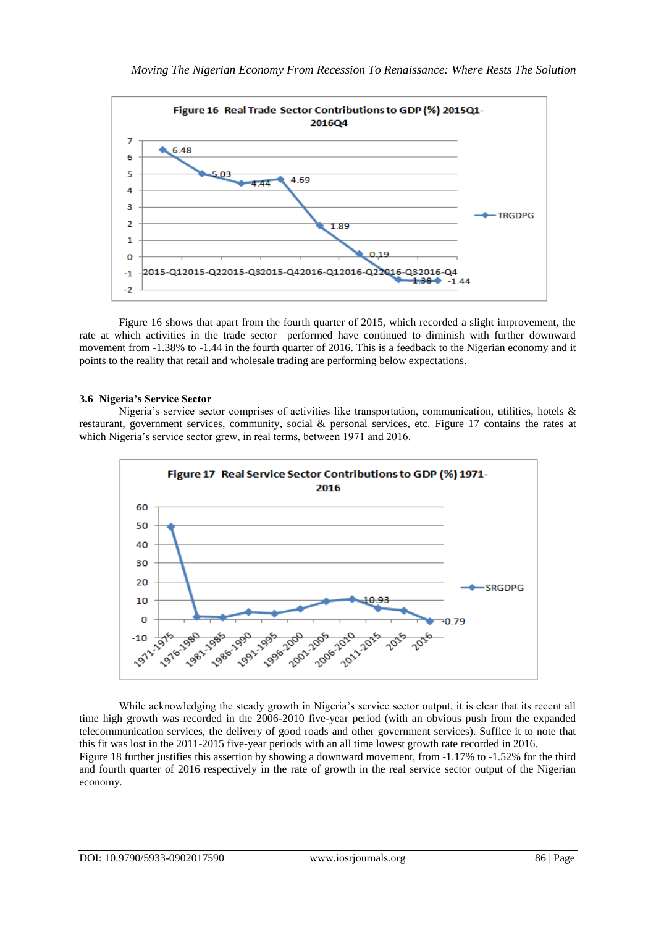

Figure 16 shows that apart from the fourth quarter of 2015, which recorded a slight improvement, the rate at which activities in the trade sector performed have continued to diminish with further downward movement from -1.38% to -1.44 in the fourth quarter of 2016. This is a feedback to the Nigerian economy and it points to the reality that retail and wholesale trading are performing below expectations.

## **3.6 Nigeria's Service Sector**

Nigeria's service sector comprises of activities like transportation, communication, utilities, hotels & restaurant, government services, community, social & personal services, etc. Figure 17 contains the rates at which Nigeria's service sector grew, in real terms, between 1971 and 2016.



While acknowledging the steady growth in Nigeria's service sector output, it is clear that its recent all time high growth was recorded in the 2006-2010 five-year period (with an obvious push from the expanded telecommunication services, the delivery of good roads and other government services). Suffice it to note that this fit was lost in the 2011-2015 five-year periods with an all time lowest growth rate recorded in 2016. Figure 18 further justifies this assertion by showing a downward movement, from -1.17% to -1.52% for the third and fourth quarter of 2016 respectively in the rate of growth in the real service sector output of the Nigerian economy.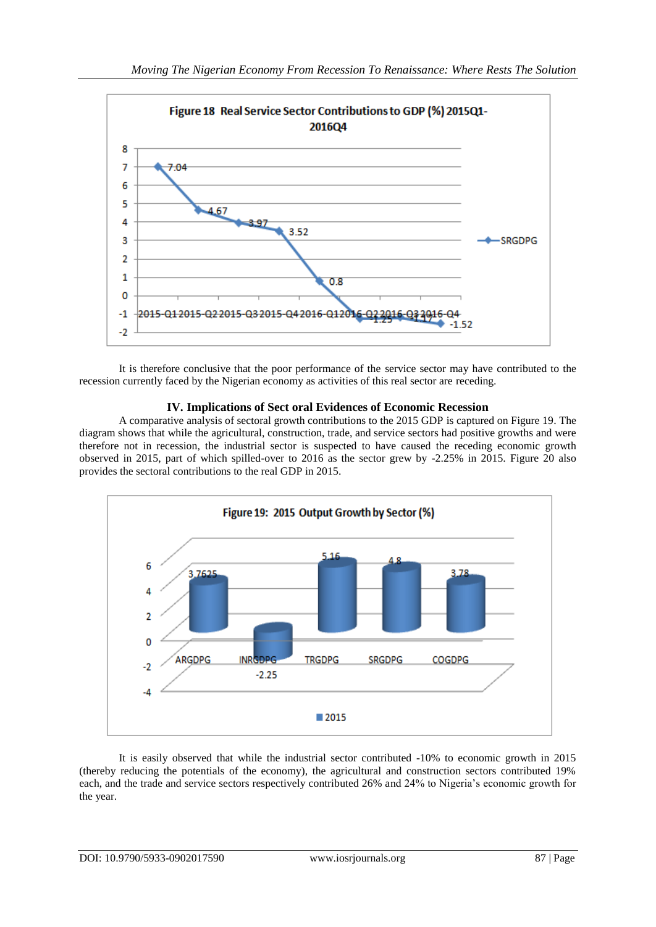

It is therefore conclusive that the poor performance of the service sector may have contributed to the recession currently faced by the Nigerian economy as activities of this real sector are receding.

# **IV. Implications of Sect oral Evidences of Economic Recession**

A comparative analysis of sectoral growth contributions to the 2015 GDP is captured on Figure 19. The diagram shows that while the agricultural, construction, trade, and service sectors had positive growths and were therefore not in recession, the industrial sector is suspected to have caused the receding economic growth observed in 2015, part of which spilled-over to 2016 as the sector grew by -2.25% in 2015. Figure 20 also provides the sectoral contributions to the real GDP in 2015.



It is easily observed that while the industrial sector contributed -10% to economic growth in 2015 (thereby reducing the potentials of the economy), the agricultural and construction sectors contributed 19% each, and the trade and service sectors respectively contributed 26% and 24% to Nigeria's economic growth for the year.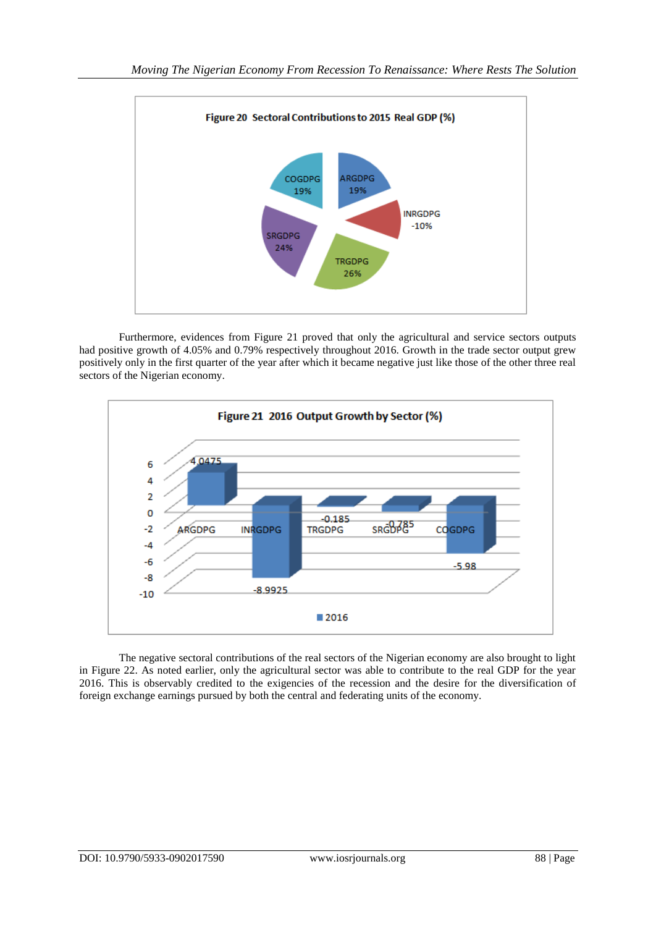

Furthermore, evidences from Figure 21 proved that only the agricultural and service sectors outputs had positive growth of 4.05% and 0.79% respectively throughout 2016. Growth in the trade sector output grew positively only in the first quarter of the year after which it became negative just like those of the other three real sectors of the Nigerian economy.



The negative sectoral contributions of the real sectors of the Nigerian economy are also brought to light in Figure 22. As noted earlier, only the agricultural sector was able to contribute to the real GDP for the year 2016. This is observably credited to the exigencies of the recession and the desire for the diversification of foreign exchange earnings pursued by both the central and federating units of the economy.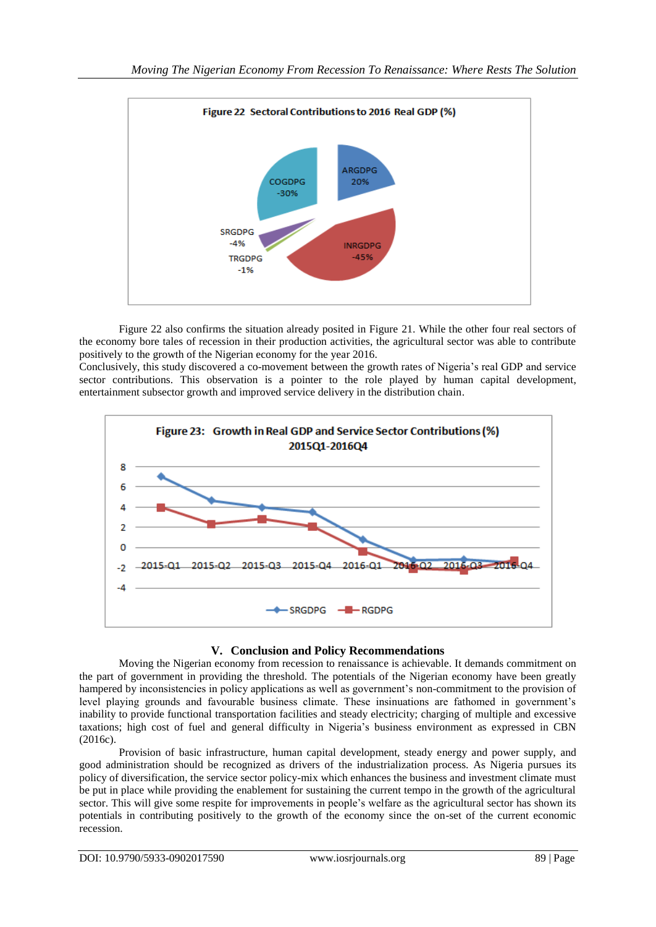

Figure 22 also confirms the situation already posited in Figure 21. While the other four real sectors of the economy bore tales of recession in their production activities, the agricultural sector was able to contribute positively to the growth of the Nigerian economy for the year 2016.

Conclusively, this study discovered a co-movement between the growth rates of Nigeria's real GDP and service sector contributions. This observation is a pointer to the role played by human capital development, entertainment subsector growth and improved service delivery in the distribution chain.



# **V. Conclusion and Policy Recommendations**

Moving the Nigerian economy from recession to renaissance is achievable. It demands commitment on the part of government in providing the threshold. The potentials of the Nigerian economy have been greatly hampered by inconsistencies in policy applications as well as government's non-commitment to the provision of level playing grounds and favourable business climate. These insinuations are fathomed in government's inability to provide functional transportation facilities and steady electricity; charging of multiple and excessive taxations; high cost of fuel and general difficulty in Nigeria's business environment as expressed in CBN (2016c).

Provision of basic infrastructure, human capital development, steady energy and power supply, and good administration should be recognized as drivers of the industrialization process. As Nigeria pursues its policy of diversification, the service sector policy-mix which enhances the business and investment climate must be put in place while providing the enablement for sustaining the current tempo in the growth of the agricultural sector. This will give some respite for improvements in people's welfare as the agricultural sector has shown its potentials in contributing positively to the growth of the economy since the on-set of the current economic recession.